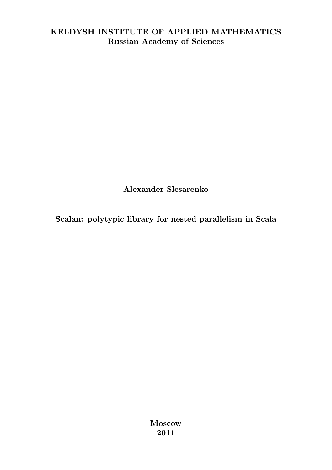### KELDYSH INSTITUTE OF APPLIED MATHEMATICS Russian Academy of Sciences

Alexander Slesarenko

Scalan: polytypic library for nested parallelism in Scala

Moscow 2011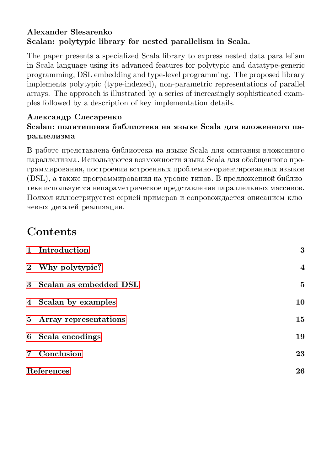### Alexander Slesarenko Scalan: polytypic library for nested parallelism in Scala.

The paper presents a specialized Scala library to express nested data parallelism in Scala language using its advanced features for polytypic and datatype-generic programming, DSL embedding and type-level programming. The proposed library implements polytypic (type-indexed), non-parametric representations of parallel arrays. The approach is illustrated by a series of increasingly sophisticated examples followed by a description of key implementation details.

#### Александр Слесаренко Scalan: политиповая библиотека на языке Scala для вложенного параллелизма

В работе представлена библиотека на языке Scala для описания вложенного параллелизма. Используются возможности языка Scala для обобщенного программирования, построения встроенных проблемно-ориентированных языков (DSL), а также программирования на уровне типов. В предложенной библиотеке используется непараметрическое представление параллельных массивов. Подход иллюстрируется серией примеров и сопровождается описанием ключевых деталей реализации.

# Contents

| 1 Introduction           | 3                       |
|--------------------------|-------------------------|
| 2 Why polytypic?         | $\overline{\mathbf{4}}$ |
| 3 Scalan as embedded DSL | 5                       |
| 4 Scalan by examples     | 10                      |
| 5 Array representations  | 15                      |
| 6 Scala encodings        | 19                      |
| 7 Conclusion             | 23                      |
| References               | 26                      |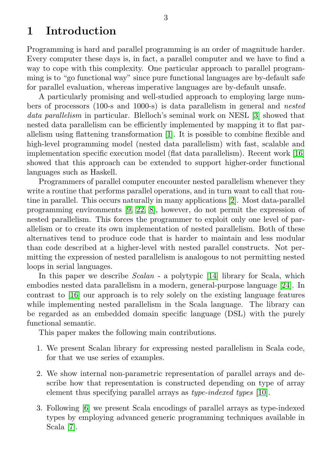# <span id="page-2-0"></span>1 Introduction

Programming is hard and parallel programming is an order of magnitude harder. Every computer these days is, in fact, a parallel computer and we have to find a way to cope with this complexity. One particular approach to parallel programming is to "go functional way" since pure functional languages are by-default safe for parallel evaluation, whereas imperative languages are by-default unsafe.

A particularly promising and well-studied approach to employing large numbers of processors (100-s and 1000-s) is data parallelism in general and nested data parallelism in particular. Blelloch's seminal work on NESL [\[3\]](#page-25-1) showed that nested data parallelism can be efficiently implemented by mapping it to flat parallelism using flattening transformation [\[1\]](#page-25-2). It is possible to combine flexible and high-level programming model (nested data parallelism) with fast, scalable and implementation specific execution model (flat data parallelism). Recent work [\[16\]](#page-26-0) showed that this approach can be extended to support higher-order functional languages such as Haskell.

Programmers of parallel computer encounter nested parallelism whenever they write a routine that performs parallel operations, and in turn want to call that routine in parallel. This occurs naturally in many applications [\[2\]](#page-25-3). Most data-parallel programming environments [\[9,](#page-26-1) [22,](#page-27-0) [8\]](#page-25-4), however, do not permit the expression of nested parallelism. This forces the programmer to exploit only one level of parallelism or to create its own implementation of nested parallelism. Both of these alternatives tend to produce code that is harder to maintain and less modular than code described at a higher-level with nested parallel constructs. Not permitting the expression of nested parallelism is analogous to not permitting nested loops in serial languages.

In this paper we describe *Scalan* - a polytypic [\[14\]](#page-26-2) library for Scala, which embodies nested data parallelism in a modern, general-purpose language [\[24\]](#page-27-1). In contrast to [\[16\]](#page-26-0) our approach is to rely solely on the existing language features while implementing nested parallelism in the Scala language. The library can be regarded as an embedded domain specific language (DSL) with the purely functional semantic.

This paper makes the following main contributions.

- 1. We present Scalan library for expressing nested parallelism in Scala code, for that we use series of examples.
- 2. We show internal non-parametric representation of parallel arrays and describe how that representation is constructed depending on type of array element thus specifying parallel arrays as type-indexed types [\[10\]](#page-26-3).
- 3. Following [\[6\]](#page-25-5) we present Scala encodings of parallel arrays as type-indexed types by employing advanced generic programming techniques available in Scala [\[7\]](#page-25-6).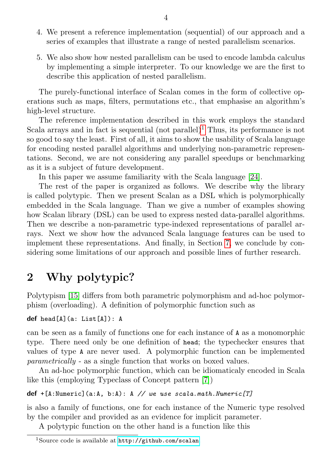- 4. We present a reference implementation (sequential) of our approach and a series of examples that illustrate a range of nested parallelism scenarios.
- 5. We also show how nested parallelism can be used to encode lambda calculus by implementing a simple interpreter. To our knowledge we are the first to describe this application of nested parallelism.

The purely-functional interface of Scalan comes in the form of collective operations such as maps, filters, permutations etc., that emphasise an algorithm's high-level structure.

The reference implementation described in this work employs the standard Scala arrays and in fact is sequential (not parallel)<sup>[1](#page-3-1)</sup> Thus, its performance is not so good to say the least. First of all, it aims to show the usability of Scala language for encoding nested parallel algorithms and underlying non-parametric representations. Second, we are not considering any parallel speedups or benchmarking as it is a subject of future development.

In this paper we assume familiarity with the Scala language [\[24\]](#page-27-1).

The rest of the paper is organized as follows. We describe why the library is called polytypic. Then we present Scalan as a DSL which is polymorphically embedded in the Scala language. Than we give a number of examples showing how Scalan library (DSL) can be used to express nested data-parallel algorithms. Then we describe a non-parametric type-indexed representations of parallel arrays. Next we show how the advanced Scala language features can be used to implement these representations. And finally, in Section [7,](#page-22-0) we conclude by considering some limitations of our approach and possible lines of further research.

# <span id="page-3-0"></span>2 Why polytypic?

Polytypism [\[15\]](#page-26-4) differs from both parametric polymorphism and ad-hoc polymorphism (overloading). A definition of polymorphic function such as

```
def head[A](a: List[A]): A
```
can be seen as a family of functions one for each instance of A as a monomorphic type. There need only be one definition of head; the typechecker ensures that values of type A are never used. A polymorphic function can be implemented parametrically - as a single function that works on boxed values.

An ad-hoc polymorphic function, which can be idiomaticaly encoded in Scala like this (employing Typeclass of Concept pattern [\[7\]](#page-25-6))

#### def +[A:Numeric](a:A, b:A): A // we use scala.math.Numeric[T]

is also a family of functions, one for each instance of the Numeric type resolved by the compiler and provided as an evidence for implicit parameter.

A polytypic function on the other hand is a function like this

<span id="page-3-1"></span><sup>1</sup>Source code is available at <http://github.com/scalan>.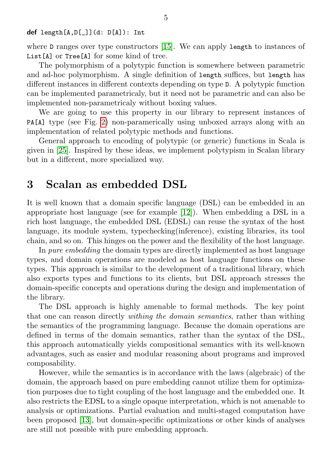def length[A,D[\_]](d: D[A]): Int

where **D** ranges over type constructors [\[15\]](#page-26-4). We can apply length to instances of List[A] or Tree[A] for some kind of tree.

The polymorphism of a polytypic function is somewhere between parametric and ad-hoc polymorphism. A single definition of length suffices, but length has different instances in different contexts depending on type D. A polytypic function can be implemented parametricaly, but it need not be parametric and can also be implemented non-parametricaly without boxing values.

We are going to use this property in our library to represent instances of PA[A] type (see Fig. [2\)](#page-7-0) non-paramerically using unboxed arrays along with an implementation of related polytypic methods and functions.

General approach to encoding of polytypic (or generic) functions in Scala is given in [\[25\]](#page-27-2). Inspired by these ideas, we implement polytypism in Scalan library but in a different, more specialized way.

## <span id="page-4-0"></span>3 Scalan as embedded DSL

It is well known that a domain specific language (DSL) can be embedded in an appropriate host language (see for example [\[12\]](#page-26-5)). When embedding a DSL in a rich host language, the embedded DSL (EDSL) can reuse the syntax of the host language, its module system, typechecking(inference), existing libraries, its tool chain, and so on. This hinges on the power and the flexibility of the host language.

In pure embedding the domain types are directly implemented as host language types, and domain operations are modeled as host language functions on these types. This approach is similar to the development of a traditional library, which also exports types and functions to its clients, but DSL approach stresses the domain-specific concepts and operations during the design and implementation of the library.

The DSL approach is highly amenable to formal methods. The key point that one can reason directly withing the domain semantics, rather than withing the semantics of the programming language. Because the domain operations are defined in terms of the domain semantics, rather than the syntax of the DSL, this approach automatically yields compositional semantics with its well-known advantages, such as easier and modular reasoning about programs and improved composability.

However, while the semantics is in accordance with the laws (algebraic) of the domain, the approach based on pure embedding cannot utilize them for optimization purposes due to tight coupling of the host language and the embedded one. It also restricts the EDSL to a single opaque interpretation, which is not amenable to analysis or optimizations. Partial evaluation and multi-staged computation have been proposed [\[13\]](#page-26-6), but domain-specific optimizations or other kinds of analyses are still not possible with pure embedding approach.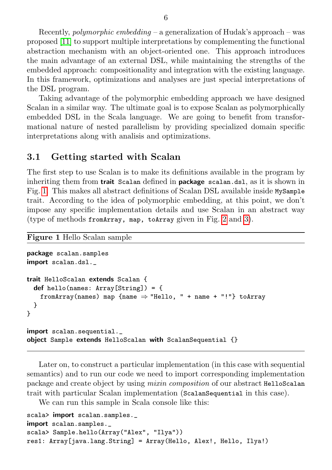Recently, *polymorphic embedding* – a generalization of Hudak's approach – was proposed [\[11\]](#page-26-7) to support multiple interpretations by complementing the functional abstraction mechanism with an object-oriented one. This approach introduces the main advantage of an external DSL, while maintaining the strengths of the embedded approach: compositionality and integration with the existing language. In this framework, optimizations and analyses are just special interpretations of the DSL program.

Taking advantage of the polymorphic embedding approach we have designed Scalan in a similar way. The ultimate goal is to expose Scalan as polymorphically embedded DSL in the Scala language. We are going to benefit from transformational nature of nested parallelism by providing specialized domain specific interpretations along with analisis and optimizations.

#### 3.1 Getting started with Scalan

The first step to use Scalan is to make its definitions available in the program by inheriting them from **trait** Scalan defined in **package** scalan.dsl, as it is shown in Fig. [1.](#page-5-0) This makes all abstract definitions of Scalan DSL available inside MySample trait. According to the idea of polymorphic embedding, at this point, we don't impose any specific implementation details and use Scalan in an abstract way (type of methods fromArray, map, toArray given in Fig. [2](#page-7-0) and [3\)](#page-7-1).

#### Figure 1 Hello Scalan sample

```
package scalan.samples
import scalan.dsl.
trait HelloScalan extends Scalan {
  def hello(names: Array[String]) = {
   fromArray(names) map {name} \Rightarrow "Hello, " + name + "!"} toArray
 }
}
import scalan.sequential._
object Sample extends HelloScalan with ScalanSequential {}
```
Later on, to construct a particular implementation (in this case with sequential semantics) and to run our code we need to import corresponding implementation package and create object by using mixin composition of our abstract HelloScalan trait with particular Scalan implementation (ScalanSequential in this case).

We can run this sample in Scala console like this:

```
scala> import scalan.samples.
import scalan.samples.
scala> Sample.hello(Array("Alex", "Ilya"))
res1: Array[java.lang.String] = Array(Hello, Alex!, Hello, Ilya!)
```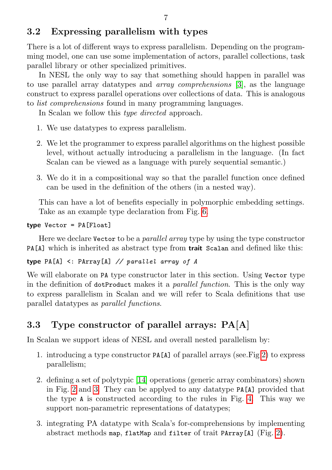There is a lot of different ways to express parallelism. Depending on the programming model, one can use some implementation of actors, parallel collections, task parallel library or other specialized primitives.

In NESL the only way to say that something should happen in parallel was to use parallel array datatypes and array comprehensions [\[3\]](#page-25-1), as the language construct to express parallel operations over collections of data. This is analogous to list comprehensions found in many programming languages.

In Scalan we follow this *type directed* approach.

- 1. We use datatypes to express parallelism.
- 2. We let the programmer to express parallel algorithms on the highest possible level, without actually introducing a parallelism in the language. (In fact Scalan can be viewed as a language with purely sequential semantic.)
- 3. We do it in a compositional way so that the parallel function once defined can be used in the definition of the others (in a nested way).

This can have a lot of benefits especially in polymorphic embedding settings. Take as an example type declaration from Fig. [6.](#page-10-0)

```
type Vector = PA[Float]
```
Here we declare Vector to be a parallel array type by using the type constructor PA[A] which is inherited as abstract type from **trait** Scalan and defined like this:

#### type  $PA[A] \leq$ :  $PArray[A] \ // parallel array of A$

We will elaborate on PA type constructor later in this section. Using Vector type in the definition of dotProduct makes it a *parallel function*. This is the only way to express parallelism in Scalan and we will refer to Scala definitions that use parallel datatypes as parallel functions.

# 3.3 Type constructor of parallel arrays: PA[A]

In Scalan we support ideas of NESL and overall nested parallelism by:

- 1. introducing a type constructor PA[A] of parallel arrays (see.Fig [2\)](#page-7-0) to express parallelism;
- 2. defining a set of polytypic [\[14\]](#page-26-2) operations (generic array combinators) shown in Fig. [2](#page-7-0) and [3.](#page-7-1) They can be applyed to any datatype PA[A] provided that the type A is constructed according to the rules in Fig. [4.](#page-8-0) This way we support non-parametric representations of datatypes;
- 3. integrating PA datatype with Scala's for-comprehensions by implementing abstract methods map, flatMap and filter of trait PArray[A] (Fig. [2\)](#page-7-0).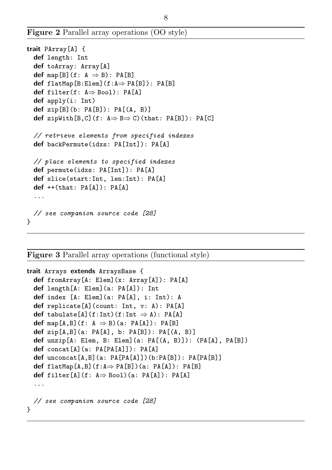Figure 2 Parallel array operations (OO style)

```
trait PArray[A] {
 def length: Int
 def toArray: Array[A]
 def map[B](f: A \Rightarrow B): PA[B]
 def flatMap[B:Elem](f:A\RightarrowPA[B]): PA[B]
 def filter(f: A⇒ Bool): PA[A]
 def apply(i: Int)
 def zip[B](b: PA[B]): PA[(A, B)]def zipWith[B,C](f: A \Rightarrow B \Rightarrow C)(that: PA[B]): PA[C]
 // retrieve elements from specified indexes
 def backPermute(idxs: PA[Int]): PA[A]
 // place elements to specified indexes
 def permute(idxs: PA[Int]): PA[A]
 def slice(start:Int, len:Int): PA[A]
 def ++(that: PA[A]): PA[A]
  ...
 // see companion source code [28]
}
```
Figure 3 Parallel array operations (functional style)

```
trait Arrays extends ArraysBase {
 def fromArray[A: Elem](x: Array[A]): PA[A]
 def length[A: Elem](a: PA[A]): Int
 def index [A: Elem](a: PA[A], i: Int): A
 def replicate[A](count: Int, v: A): PA[A]
 def tabulate[A](f:Int)(f:Int \Rightarrow A): PA[A]
 def map[A,B](f: A \Rightarrow B)(a: PA[A]): PA[B]
 def zip[A,B](a: PA[A], b: PA[B]): PA[(A, B)]
 def unzip[A: Elem, B: Elem](a: PA[(A, B)]): (PA[A], PA[B])def concat[A](a: PA[PA[A]]): PA[A]
 def unconcat[A,B](a: PA[PA[A]])(b:PA[B]): PA[PA[B]]
 def flatMap[A,B](f:A\RightarrowPA[B])(a: PA[A]): PA[B]
 def filter[A](f: A \Rightarrow Bool)(a: PA[A]): PA[A]
  ...
  // see companion source code [28]
}
```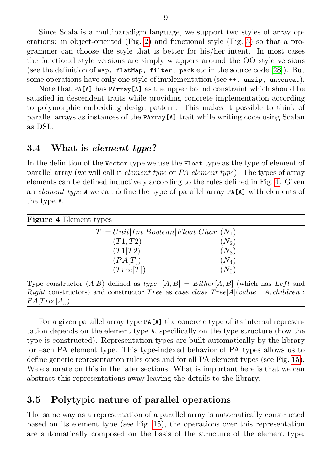Since Scala is a multiparadigm language, we support two styles of array operations: in object-oriented (Fig. [2\)](#page-7-0) and functional style (Fig. [3\)](#page-7-1) so that a programmer can choose the style that is better for his/her intent. In most cases the functional style versions are simply wrappers around the OO style versions (see the definition of map, flatMap, filter, pack etc in the source code  $[28]$ ). But some operations have only one style of implementation (see  $++$ , unzip, unconcat).

Note that PA[A] has PArray[A] as the upper bound constraint which should be satisfied in descendent traits while providing concrete implementation according to polymorphic embedding design pattern. This makes it possible to think of parallel arrays as instances of the PArray[A] trait while writing code using Scalan as DSL.

### 3.4 What is element type?

In the definition of the Vector type we use the Float type as the type of element of parallel array (we will call it element type or PA element type). The types of array elements can be defined inductively according to the rules defined in Fig. [4.](#page-8-0) Given an element type A we can define the type of parallel array PA[A] with elements of the type A.

<span id="page-8-0"></span>

| <b>Figure 4 Element types</b>           |         |  |  |  |  |
|-----------------------------------------|---------|--|--|--|--|
| $T := Unit Int Boolean Fload Char(N_1)$ |         |  |  |  |  |
| (T1, T2)                                | $(N_2)$ |  |  |  |  |
| (T1 T2)                                 | $(N_3)$ |  |  |  |  |
| (PA[T])                                 | $(N_4)$ |  |  |  |  |
| (Tree[T])                               | $(N_5)$ |  |  |  |  |

Type constructor  $(A|B)$  defined as  $type |[A, B] = Either [A, B]$  (which has  $Left$  and  $Right$  constructors) and constructor *Tree* as case class  $Tree[A]( value : A, children :$  $PA[Tree[A]]$ 

For a given parallel array type PA[A] the concrete type of its internal representation depends on the element type A, specifically on the type structure (how the type is constructed). Representation types are built automatically by the library for each PA element type. This type-indexed behavior of PA types allows us to define generic representation rules ones and for all PA element types (see Fig. [15\)](#page-17-0). We elaborate on this in the later sections. What is important here is that we can abstract this representations away leaving the details to the library.

### 3.5 Polytypic nature of parallel operations

The same way as a representation of a parallel array is automatically constructed based on its element type (see Fig. [15\)](#page-17-0), the operations over this representation are automatically composed on the basis of the structure of the element type.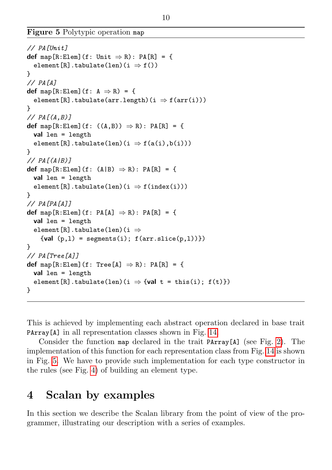Figure 5 Polytypic operation map

```
// PA[Unit]
def map[R:Elem](f: Unit \Rightarrow R): PA[R] = {
  element[R].tabulate(len)(i \Rightarrow f())
}
// PA[A]
def map[R:Elem](f: A \Rightarrow R) = {
  element[R].tabulate(arr.length)(i \Rightarrow f(arr(i)))
\mathbf{r}// PA[(A, B)]def map[R:Elem](f: ((A, B)) \Rightarrow R): PA[R] = {
  val len = length
  element[R].tabulate(len)(i \Rightarrow f(a(i),b(i)))
}
// PA[(A/B)]def map[R:Elem](f: (A|B) \Rightarrow R): PA[R] = {
  val len = length
  element[R].tabulate(len)(i \Rightarrow f(index(i)))
}
// PA[PA[A]]
def map[R:Elem](f: PA[A] \Rightarrow R): PA[R] = {
  val len = length
  element[R].tabulate(len)(i \Rightarrow{val (p,1) = segments(i); f(arr.size(p,1))})}
// PA[Tree[A]]
def map[R:Elem](f: Tree[A] \Rightarrow R): PA[R] = {
  val len = length
  element[R].tabulate(len)(i \Rightarrow {val t = this(i); f(t)})
}
```
This is achieved by implementing each abstract operation declared in base trait PArray[A] in all representation classes shown in Fig. [14.](#page-17-1)

Consider the function map declared in the trait  $PArray[A]$  (see Fig. [2\)](#page-7-0). The implementation of this function for each representation class from Fig. [14](#page-17-1) is shown in Fig. [5.](#page-9-1) We have to provide such implementation for each type constructor in the rules (see Fig. [4\)](#page-8-0) of building an element type.

# <span id="page-9-0"></span>4 Scalan by examples

In this section we describe the Scalan library from the point of view of the programmer, illustrating our description with a series of examples.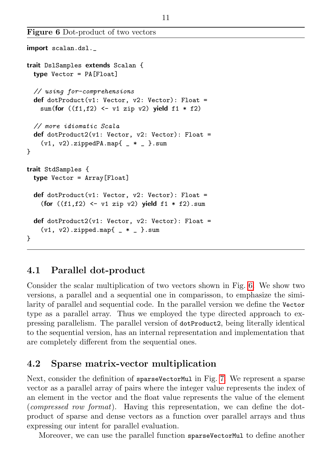Figure 6 Dot-product of two vectors

```
import scalan.dsl._
trait DslSamples extends Scalan {
 type Vector = PA[Float]
 // using for-comprehensions
 def dotProduct(v1: Vector, v2: Vector): Float =sum(for ((f1,f2) \leftarrow v1 zip v2) yield f1 * f2)
  // more idiomatic Scala
 def dotProduct2(v1: Vector, v2: Vector): Float =
    (v1, v2).zippedPA.map{ -* _* }.sum
}
trait StdSamples {
 type Vector = Array[Float]
 def dotProduct(v1: Vector, v2: Vector): Float =(for ((f1,f2) \leftarrow v1 zip v2) yield f1 * f2).sum
 def dotProduct2(v1: Vector, v2: Vector): Float =
    (v1, v2).zipped.map{ * - *.sum
}
```
## 4.1 Parallel dot-product

Consider the scalar multiplication of two vectors shown in Fig. [6.](#page-10-0) We show two versions, a parallel and a sequential one in comparisson, to emphasize the similarity of parallel and sequential code. In the parallel version we define the Vector type as a parallel array. Thus we employed the type directed approach to expressing parallelism. The parallel version of dotProduct2, being literally identical to the sequential version, has an internal representation and implementation that are completely different from the sequential ones.

### 4.2 Sparse matrix-vector multiplication

Next, consider the definition of sparseVectorMul in Fig. [7.](#page-11-0) We represent a sparse vector as a parallel array of pairs where the integer value represents the index of an element in the vector and the float value represents the value of the element (compressed row format). Having this representation, we can define the dotproduct of sparse and dense vectors as a function over parallel arrays and thus expressing our intent for parallel evaluation.

Moreover, we can use the parallel function sparseVectorMul to define another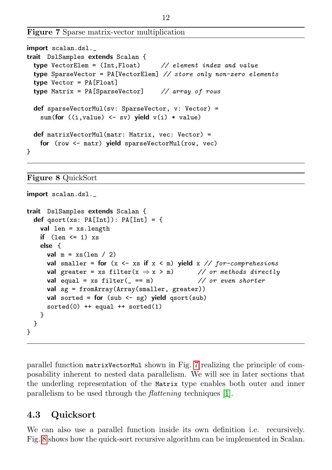```
Figure 7 Sparse matrix-vector multiplication
```

```
import scalan.dsl._
trait DslSamples extends Scalan {
 type VectorElem = (Int, float) // element index and value
 type SparseVector = PA[VectorElem] // store only non-zero elements
 type Vector = PA[Float]
 type Matrix = PA[SparseVector] // array of rows
 def sparseVectorMul(sv: SparseVector, v: Vector) =
   sum(for ((i, value) \leftarrow sv) yield v(i) * value)def matrixVectorMul(matr: Matrix, vec: Vector) =
   for (row <- matr) yield sparseVectorMul(row, vec)
}
```
Figure 8 QuickSort

```
import scalan.dsl.
trait DslSamples extends Scalan {
  def asort(xs: PA[Int]): PA[Int] = \{val len = xs.length
   if (len \leq 1) xs
   else {
     val m = xs(len / 2)val smaller = for (x \le -xs if x \le m) yield x \text{ // for-comprehesions}val greater = xs filter(x \Rightarrow x > m) // or methods directly
     val equal = xs filter(= == m) // or even shorter
     val sg = fromArray(Array(smaller, greater))
     val sorted = for (sub \leftarrow sg) yield qsort(sub)sorted(0) ++ equal ++ sorted(1)
   }
 }
}
```
parallel function matrixVectorMul shown in Fig. [7](#page-11-0) realizing the principle of composability inherent to nested data parallelism. We will see in later sections that the underling representation of the Matrix type enables both outer and inner parallelism to be used through the flattening techniques [\[1\]](#page-25-2).

## 4.3 Quicksort

We can also use a parallel function inside its own definition i.e. recursively. Fig. [8](#page-11-1) shows how the quick-sort recursive algorithm can be implemented in Scalan.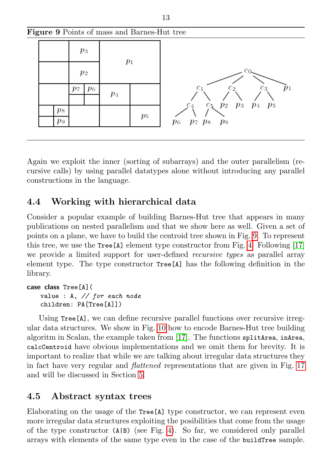<span id="page-12-0"></span>

Again we exploit the inner (sorting of subarrays) and the outer parallelism (recursive calls) by using parallel datatypes alone without introducing any parallel constructions in the language.

## 4.4 Working with hierarchical data

Consider a popular example of building Barnes-Hut tree that appears in many publications on nested parallelism and that we show here as well. Given a set of points on a plane, we have to build the centroid tree shown in Fig. [9.](#page-12-0) To represent this tree, we use the  $Tree[A]$  element type constructor from Fig. [4.](#page-8-0) Following [\[17\]](#page-26-8) we provide a limited support for user-defined *recursive types* as parallel array element type. The type constructor Tree[A] has the following definition in the library.

```
case class Tree[A](
   value : A, // for each node
   children: PA[Tree[A]])
```
Using Tree<sup>[A]</sup>, we can define recursive parallel functions over recursive irregular data structures. We show in Fig. [10](#page-13-0) how to encode Barnes-Hut tree building algoritm in Scalan, the example taken from [\[17\]](#page-26-8). The functions splitArea, inArea, calcCentroid have obvious implementations and we omit them for brevity. It is important to realize that while we are talking about irregular data structures they in fact have very regular and flattened representations that are given in Fig. [17](#page-19-0) and will be discussed in Section [5.](#page-14-0)

## 4.5 Abstract syntax trees

Elaborating on the usage of the Tree[A] type constructor, we can represent even more irregular data structures exploiting the posibilities that come from the usage of the type constructor  $(A|B)$  (see Fig. [4\)](#page-8-0). So far, we considered only parallel arrays with elements of the same type even in the case of the buildTree sample.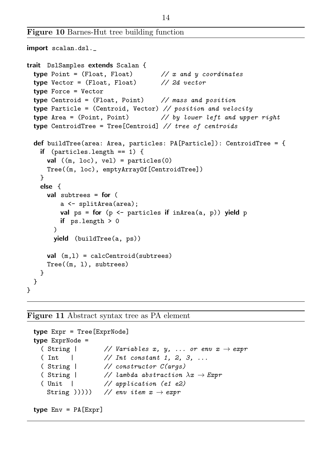Figure 10 Barnes-Hut tree building function

```
import scalan.dsl._
trait DslSamples extends Scalan {
 type Point = (Float, Float) \frac{1}{x} and y coordinates
 type Vector = (Float, Float) // 2d vector
 type Force = Vector
 type Centroid = (Float, Point) // mass and position
 type Particle = (Centroid, Vector) // position and velocity
 type Area = (Point, Point) \frac{1}{2} by lower left and upper right
 type CentroidTree = Tree[Centroid] // tree of centroids
 def buildTree(area: Area, particles: PA[Particle]): CentroidTree = {
   if (particles.length == 1) {
     val ((m, loc), vel) = particles(0)
     Tree((m, loc), emptyArrayOf[CentroidTree])
   }
   else {
     val subtrees = for (
         a <- splitArea(area);
         val ps = for (p \leq - particles if inArea(a, p)) yield p
         if ps.length > 0)
       yield (buildTree(a, ps))
     val (m,1) = calcCentroid(subtrees)
     Tree((m, l), subtrees)
   }
 }
}
```
Figure 11 Abstract syntax tree as PA element

```
type Expr = Tree[ExprNode]
type ExprNode =
  (String // Variables x, y, ... or env x \rightarrow expr( Int | // Int constant 1, 2, 3, ...
  ( String | // constructor C(args)
  ( String | \frac{1}{2} lambda abstraction \lambda x \rightarrow Expr( Unit | // application (e1 e2)
   String ())))) // env item x \rightarrow exprtype Env = PA[Expr]
```
14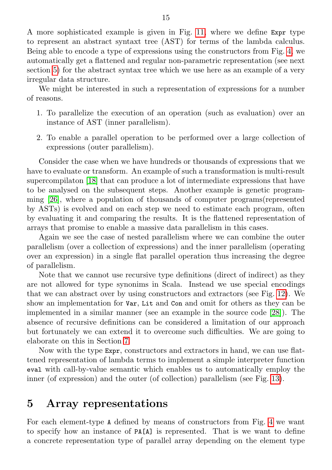A more sophisticated example is given in Fig. [11,](#page-13-1) where we define Expr type to represent an abstract syntaxt tree (AST) for terms of the lambda calculus. Being able to encode a type of expressions using the constructors from Fig. [4,](#page-8-0) we automatically get a flattened and regular non-parametric representation (see next section [5\)](#page-14-0) for the abstract syntax tree which we use here as an example of a very irregular data structure.

We might be interested in such a representation of expressions for a number of reasons.

- 1. To parallelize the execution of an operation (such as evaluation) over an instance of AST (inner parallelism).
- 2. To enable a parallel operation to be performed over a large collection of expressions (outer parallelism).

Consider the case when we have hundreds or thousands of expressions that we have to evaluate or transform. An example of such a transformation is multi-result supercompilaton [\[18\]](#page-26-9) that can produce a lot of intermediate expressions that have to be analysed on the subsequent steps. Another example is genetic programming [\[26\]](#page-27-4), where a population of thousands of computer programs(represented by ASTs) is evolved and on each step we need to estimate each program, often by evaluating it and comparing the results. It is the flattened representation of arrays that promise to enable a massive data parallelism in this cases.

Again we see the case of nested parallelism where we can combine the outer parallelism (over a collection of expressions) and the inner parallelism (operating over an expression) in a single flat parallel operation thus increasing the degree of parallelism.

Note that we cannot use recursive type definitions (direct of indirect) as they are not allowed for type synonims in Scala. Instead we use special encodings that we can abstract over by using constructors and extractors (see Fig. [12\)](#page-15-0). We show an implementation for Var, Lit and Con and omit for others as they can be implemented in a similar manner (see an example in the source code [\[28\]](#page-27-3)). The absence of recursive definitions can be considered a limitation of our approach but fortunately we can extend it to overcome such difficulties. We are going to elaborate on this in Section [7.](#page-22-0)

Now with the type Expr, constructors and extractors in hand, we can use flattened representation of lambda terms to implement a simple interpreter function eval with call-by-value semantic which enables us to automatically employ the inner (of expression) and the outer (of collection) parallelism (see Fig. [13\)](#page-16-0).

## <span id="page-14-0"></span>5 Array representations

For each element-type A defined by means of constructors from Fig. [4](#page-8-0) we want to specify how an instance of PA[A] is represented. That is we want to define a concrete representation type of parallel array depending on the element type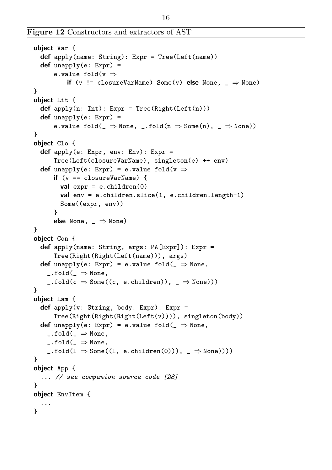```
object Var {
  def apply(name: String): Expr = Tree(Left(name))
  def unapply(e: Expr) =
      e.value fold(v \Rightarrowif (v \neq \text{closureVarName}) Some(v) else None, \Rightarrow None)
}
object Lit {
  def apply(n: Int): Expr = Tree(Right(Left(n)))def unapply(e: Expr) =
      e.value fold(\_ \Rightarrow None, \_.fold(n \Rightarrow Some(n), \_ \Rightarrow None))}
object Clo {
  def apply(e: Expr, env: Env): Expr =
      Tree(Left(closureVarName), singleton(e) ++ env)
  def unapply(e: Expr) = e.value fold(v \Rightarrowif (v == closureVarName) {
        val expr = e.children(0)val env = e.children.slice(1, e.children.length-1)
        Some((expr, env))
      }
      else None, = \Rightarrow None)
}
object Con {
  def apply(name: String, args: PA[Expr]): Expr =
      Tree(Right(Right(Left(name))), args)
  def unapply(e: Expr) = e.value fold( \Rightarrow None,
    \_.fold( \_ \Rightarrow None,\_float(c \Rightarrow Some((c, e.children)), \underline{\ } \Rightarrow None)))}
object Lam {
  def apply(v: String, body: Expr): Expr =
      Tree(Right(Right(Right(Left(v)))), singleton(body))
  def unapply(e: Expr) = e.value fold(\Rightarrow None,
    \_float(\_ \Rightarrow None,\_float(\_ \Rightarrow None,\_.fold(1 \Rightarrow Some((1, e.children(0))), ~\_ \Rightarrow None)))}
object App {
  ... // see companion source code [28]
}
object EnvItem {
  ...
}
```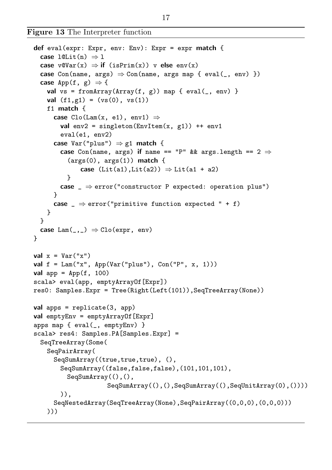Figure 13 The Interpreter function

```
def eval(expr: Expr, env: Env): Expr = expr match {
  case l@Lit(n) \Rightarrow lcase v@Var(x) \Rightarrow if (isPrim(x)) v else env(x)
  case Con(name, args) \Rightarrow Con(name, args map { eval(_, env) })case \text{App}(f, g) \Rightarrow \{val vs = fromArray(Array(f, g)) map { eval(_, env) }
    val (f1, g1) = (vs(0), vs(1))f1 match {
      case Clo(Lam(x, el), env1) \Rightarrowval env2 = singleton(EnvItem(x, g1)) ++ env1
        eval(e1, env2)
      case Var("plus") \Rightarrow g1 match {
        case Con(name, args) if name == "P" && args.length == 2 \Rightarrow(args(0), args(1)) match {
              case (Lit(at), Lit(a2)) \Rightarrow Lit(at + a2)}
        case \Rightarrow error("constructor P expected: operation plus")
      }
      case _ \Rightarrow error("primitive function expected " + f)
    }
  \mathbf{r}case \text{Lam}(\_,-) \Rightarrow \text{Clo}(\text{expr}, \text{env})}
val x = Var("x")val f = \text{Lam}("x", \text{ ADD}(Var("plus"), \text{Con}("P", x, 1)))val app = App(f, 100)scala> eval(app, emptyArrayOf[Expr])
res0: Samples.Expr = Tree(Right(Left(101)),SeqTreeArray(None))
val apps = replicate(3, app)
val emptyEnv = emptyArrayOf[Expr]
apps map { eval(_, emptyEnv) }
scala> res4: Samples.PA[Samples.Expr] =
  SeqTreeArray(Some(
    SeqPairArray(
      SeqSumArray((true,true,true), (),
        SeqSumArray((false,false,false),(101,101,101),
          SeqSumArray((),(),
                       SeqSumArray((),(),SeqSumArray((),SeqUnitArray(0),())))
        )),
      SeqNestedArray(SeqTreeArray(None),SeqPairArray((0,0,0),(0,0,0)))
    )))
```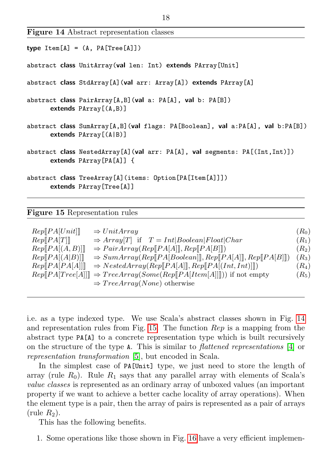Figure 14 Abstract representation classes

<span id="page-17-1"></span>

| $type$ $Item[A] = (A, PA[Tree[A]])$                                                                       |
|-----------------------------------------------------------------------------------------------------------|
| abstract class UnitArray (val len: Int) extends PArray [Unit]                                             |
| abstract class StdArray[A](val arr: Array[A]) extends PArray[A]                                           |
| abstract class PairArray [A, B] (val a: PA [A], val b: PA [B])<br>extends $PArray[(A,B)]$                 |
| abstract class SumArray[A,B](val flags: PA[Boolean], val a:PA[A], val b:PA[B])<br>extends $PArray[(A B)]$ |
| abstract class NestedArray[A](val arr: PA[A], val segments: PA[(Int, Int)])<br>extends $PArray[PA[A]]$ {  |
| abstract class TreeArray [A] (items: Option [PA [Item [A]]])<br>extends PArray [Tree [A]]                 |

#### Figure 15 Representation rules

<span id="page-17-0"></span>

| Rep[PA[Unit]]   | $\Rightarrow UnitArray$                                                       | $(R_0)$               |
|-----------------|-------------------------------------------------------------------------------|-----------------------|
| Rep[PA[T]]      | $\Rightarrow Array[T]$ if $T = Int Boolean Float Char$                        | $(R_1)$               |
| Rep[PA[(A, B)]] | $\Rightarrow PairArray(Rep[PA[A]], Rep[PA[B]]])$                              | $(R_2)$               |
| Rep[PA[(A B)]]  | $\Rightarrow SumArray(Rep[PA Boolean]], Rep[PA[A]], Rep[PA[B]])$              | $(R_3)$               |
| Rep[PA[PA[A]]]  | $\Rightarrow$ NestedArray(Rep[[PA[A]], Rep[[PA](Int, Int)]])                  | $(R_4)$               |
|                 | $Rep[PA Tree[A]]] \Rightarrow TreeArray(Some(Rep[PA[Item[A]]]))$ if not empty | $\left( R_{5}\right)$ |
|                 | $\Rightarrow TreeArray(None)$ otherwise                                       |                       |

i.e. as a type indexed type. We use Scala's abstract classes shown in Fig. [14](#page-17-1) and representation rules from Fig.  $15$ . The function  $\text{Re}v$  is a mapping from the abstract type PA[A] to a concrete representation type which is built recursively on the structure of the type A. This is similar to flattened representations [\[4\]](#page-25-7) or representation transformation [\[5\]](#page-25-8), but encoded in Scala.

In the simplest case of PA[Unit] type, we just need to store the length of array (rule  $R_0$ ). Rule  $R_1$  says that any parallel array with elements of Scala's value classes is represented as an ordinary array of unboxed values (an important property if we want to achieve a better cache locality of array operations). When the element type is a pair, then the array of pairs is represented as a pair of arrays  $(\text{rule } R_2).$ 

This has the following benefits.

1. Some operations like those shown in Fig. [16](#page-18-1) have a very efficient implemen-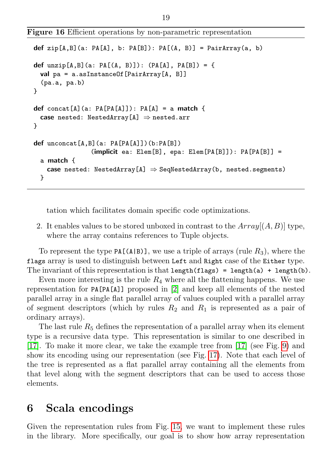Figure 16 Efficient operations by non-parametric representation

```
def zip[A,B](a: PA[A], b: PA[B]): PA[(A, B)] = PairArray(a, b)
def unzip[A,B](a: PA[(A, B)]): (PA[A], PA[B]) ={
 val pa = a.asInstanceOf[PairArray[A, B]]
  (pa.a, pa.b)
}
def concat[A](a: PA[PA[A]]): PA[A] = a match {
 case nested: NestedArray[A] \Rightarrow nested.arr
}
def unconcat[A, B](a: PA[PA[A]])(b:PA[B])
                 (implicit ea: Element[B], epa: Element[B][PA[B]]): PA[PA[B]] =
  a match {
    case nested: NestedArray[A] \Rightarrow SeqNestedArray(b, nested.segments)
 }
```
tation which facilitates domain specific code optimizations.

2. It enables values to be stored unboxed in contrast to the  $Array[(A, B)]$  type, where the array contains references to Tuple objects.

To represent the type PA[(A|B)], we use a triple of arrays (rule  $R_3$ ), where the flags array is used to distinguish between Left and Right case of the Either type. The invariant of this representation is that length(flags) = length(a) + length(b).

Even more interesting is the rule  $R_4$  where all the flattening happens. We use representation for PA[PA[A]] proposed in [\[2\]](#page-25-3) and keep all elements of the nested parallel array in a single flat parallel array of values coupled with a parallel array of segment descriptors (which by rules  $R_2$  and  $R_1$  is represented as a pair of ordinary arrays).

The last rule  $R_5$  defines the representation of a parallel array when its element type is a recursive data type. This representation is similar to one described in [\[17\]](#page-26-8). To make it more clear, we take the example tree from [\[17\]](#page-26-8) (see Fig. [9\)](#page-12-0) and show its encoding using our representation (see Fig. [17\)](#page-19-0). Note that each level of the tree is represented as a flat parallel array containing all the elements from that level along with the segment descriptors that can be used to access those elements.

# <span id="page-18-0"></span>6 Scala encodings

Given the representation rules from Fig. [15,](#page-17-0) we want to implement these rules in the library. More specifically, our goal is to show how array representation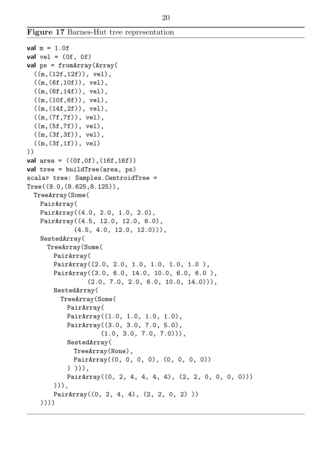Figure 17 Barnes-Hut tree representation

```
val m = 1.0fval vel = (0f, 0f)val ps = fromArray(Array(
 ((m,(12f,12f)), vel),
 ((m.(6f.10f)), vel),
 ((m,(6f,14f)), vel),
 ((m,(10f,6f)), vel),
 ((m,(14f,2f)), vel),
 ((m,(7f,7f)), vel),
 ((m,(5f,7f)), vel),
 ((m,(3f,3f)), vel),
 ((m,(3f,1f)), vel)
))
val area = ((0f, 0f), (16f, 16f))val tree = buildTree(area, ps)
scala> tree: Samples.CentroidTree =
Tree((9.0,(8.625,8.125)),
 TreeArray(Some(
   PairArray(
   PairArray((4.0, 2.0, 1.0, 2.0),
   PairArray((4.5, 12.0, 12.0, 6.0),
             (4.5, 4.0, 12.0, 12.0)),
   NestedArray(
     TreeArray(Some(
       PairArray(
       PairArray((2.0, 2.0, 1.0, 1.0, 1.0, 1.0 ),
       PairArray((3.0, 6.0, 14.0, 10.0, 6.0, 6.0 ),
                (2.0, 7.0, 2.0, 6.0, 10.0, 14.0)),
       NestedArray(
         TreeArray(Some(
           PairArray(
           PairArray((1.0, 1.0, 1.0, 1.0),
           PairArray((3.0, 3.0, 7.0, 5.0),
                    (1.0, 3.0, 7.0, 7.0)),
           NestedArray(
            TreeArray(None),
            PairArray((0, 0, 0, 0), (0, 0, 0, 0))
           ) ))),
           PairArray((0, 2, 4, 4, 4, 4), (2, 2, 0, 0, 0, 0)))))),
       PairArray((0, 2, 4, 4), (2, 2, 0, 2) ))
   ))))
```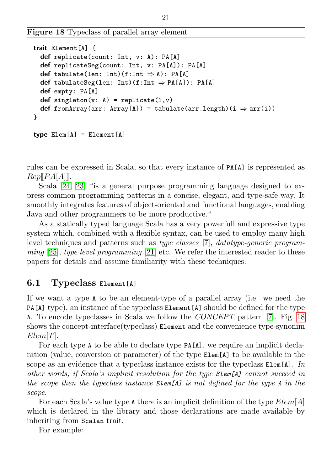Figure 18 Typeclass of parallel array element

```
trait Element[A] {
 def replicate(count: Int, v: A): PA[A]
 def replicateSeg(count: Int, v: PA[A]): PA[A]
 def tabulate(len: Int)(f:Int \Rightarrow A): PA[A]
 def tabulateSeg(len: Int)(f:Int \Rightarrow PA[A]): PA[A]
 def empty: PA[A]
 def singleton(v: A) = replicate(1,v)
 def fromArray(arr: Array[A]) = tabulate(arr.length)(i \Rightarrow arr(i))
}
type Elem[A] = Element[A]
```
rules can be expressed in Scala, so that every instance of PA[A] is represented as  $Rep[PA[A]]$ .

Scala [\[24,](#page-27-1) [23\]](#page-27-5) "is a general purpose programming language designed to express common programming patterns in a concise, elegant, and type-safe way. It smoothly integrates features of object-oriented and functional languages, enabling Java and other programmers to be more productive."

As a statically typed language Scala has a very powerfull and expressive type system which, combined with a flexible syntax, can be used to employ many high level techniques and patterns such as type classes [\[7\]](#page-25-6), datatype-generic program $ming$  [\[25\]](#page-27-2), type level programming [\[21\]](#page-26-10) etc. We refer the interested reader to these papers for details and assume familiarity with these techniques.

#### 6.1 Typeclass Element[A]

If we want a type A to be an element-type of a parallel array (i.e. we need the PA[A] type), an instance of the typeclass Element[A] should be defined for the type A. To encode typeclasses in Scala we follow the CONCEPT pattern [\[7\]](#page-25-6). Fig. [18](#page-20-0) shows the concept-interface(typeclass) Element and the convenience type-synonim  $Elem[T].$ 

For each type A to be able to declare type PA[A], we require an implicit declaration (value, conversion or parameter) of the type Elem[A] to be available in the scope as an evidence that a typeclass instance exists for the typeclass  $Elem[A]$ . In other words, if Scala's implicit resolution for the type Elem[A] cannot succeed in the scope then the typeclass instance Elem[A] is not defined for the type A in the scope.

For each Scala's value type A there is an implicit definition of the type  $Elem[A]$ which is declared in the library and those declarations are made available by inheriting from Scalan trait.

For example: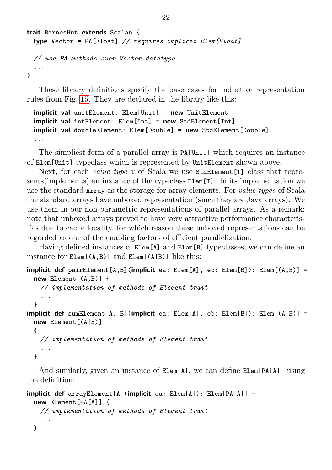```
trait BarnesHut extends Scalan {
 type Vector = PA[Float] // requires implicit Elem[Float]
 // use PA methods over Vector datatype
  ...
}
```
These library definitions specify the base cases for inductive representation rules from Fig. [15.](#page-17-0) They are declared in the library like this:

```
implicit val unitElement: Elem[Unit] = new UnitElement
implicit val intElement: Elem[Int] = new StdElement[Int]
implicit val doubleElement: Elem[Double] = new StdElement[Double]
...
```
The simpliest form of a parallel array is PA[Unit] which requires an instance of Elem[Unit] typeclass which is represented by UnitElement shown above.

Next, for each *value type* T of Scala we use **StdElement** [T] class that represents(implements) an instance of the typeclass Elem[T]. In its implementation we use the standard Array as the storage for array elements. For value types of Scala the standard arrays have unboxed representation (since they are Java arrays). We use them in our non-parametric representations of parallel arrays. As a remark: note that unboxed arrays proved to have very attractive performance characteristics due to cache locality, for which reason these unboxed representations can be regarded as one of the enabling factors of efficient parallelization.

Having defined instances of Elem[A] and Elem[B] typeclasses, we can define an instance for Elem[(A,B)] and Elem[(A|B)] like this:

```
implicit def pairElement[A,B](implicit ea: Elem[A], eb: Elem[B]): Elem[(A, B)] =
 new Element[(A,B)] {
   // implementation of methods of Element trait
    ...
 }
implicit def sumElement[A, B](implicit ea: Elem[A], eb: Elem[B]): Elem[(A|B)] =
 new Element [(A|B)]
  {
   // implementation of methods of Element trait
    ...
 }
```
And similarly, given an instance of  $\text{Elem}[A]$ , we can define  $\text{Elem}[PA[A]]$  using the definition:

```
implicit def arrayElement[A](implicit ea: Elem[A]): Elem[PA[A]] =
 new Element[PA[A]] {
   // implementation of methods of Element trait
   ...
 }
```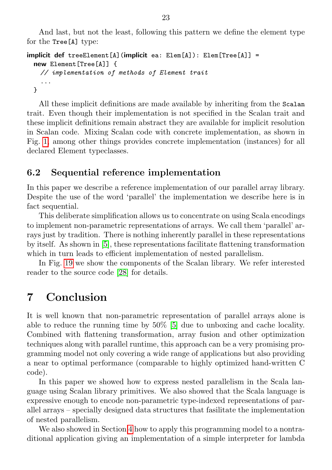And last, but not the least, following this pattern we define the element type for the Tree[A] type:

```
implicit def treeElement[A](implicit ea: Elem[A]): Elem[Tree[A]] =
 new Element[Tree[A]] {
   // implementation of methods of Element trait
    ...
 }
```
All these implicit definitions are made available by inheriting from the Scalan trait. Even though their implementation is not specified in the Scalan trait and these implicit definitions remain abstract they are available for implicit resolution in Scalan code. Mixing Scalan code with concrete implementation, as shown in Fig. [1,](#page-5-0) among other things provides concrete implementation (instances) for all declared Element typeclasses.

#### 6.2 Sequential reference implementation

In this paper we describe a reference implementation of our parallel array library. Despite the use of the word 'parallel' the implementation we describe here is in fact sequential.

This deliberate simplification allows us to concentrate on using Scala encodings to implement non-parametric representations of arrays. We call them 'parallel' arrays just by tradition. There is nothing inherently parallel in these representations by itself. As shown in [\[5\]](#page-25-8), these representations facilitate flattening transformation which in turn leads to efficient implementation of nested parallelism.

In Fig. [19](#page-23-0) we show the components of the Scalan library. We refer interested reader to the source code [\[28\]](#page-27-3) for details.

# <span id="page-22-0"></span>7 Conclusion

It is well known that non-parametric representation of parallel arrays alone is able to reduce the running time by 50% [\[5\]](#page-25-8) due to unboxing and cache locality. Combined with flattening transformation, array fusion and other optimization techniques along with parallel runtime, this approach can be a very promising programming model not only covering a wide range of applications but also providing a near to optimal performance (comparable to highly optimized hand-written C code).

In this paper we showed how to express nested parallelism in the Scala language using Scalan library primitives. We also showed that the Scala language is expressive enough to encode non-parametric type-indexed representations of parallel arrays – specially designed data structures that fasilitate the implementation of nested parallelism.

We also showed in Section [4](#page-9-0) how to apply this programming model to a nontraditional application giving an implementation of a simple interpreter for lambda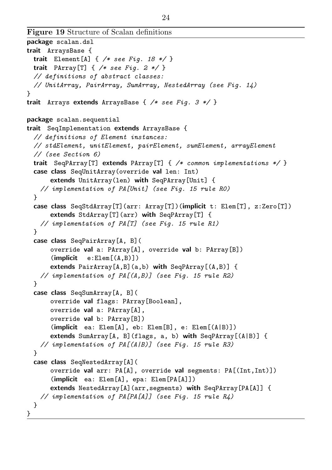```
package scalan.dsl
trait ArraysBase {
 trait Element [A] \{ /* see Fig. 18 */ }
 trait PArray<sup>[T]</sup> { /* see Fig. 2 */ }
 // definitions of abstract classes:
  // UnitArray, PairArray, SumArray, NestedArray (see Fig. 14)
}
trait Arrays extends ArraysBase { /* see Fig. 3 */ }
package scalan.sequential
trait SeqImplementation extends ArraysBase {
 // definitions of Element instances:
 // stdElement, unitElement, pairElement, sumElement, arrayElement
 // (see Section 6)
 trait SeqPArray<sup>[T]</sup> extends PArray<sup>[T]</sup> { /* common implementations */ }
 case class SeqUnitArray(override val len: Int)
      extends UnitArray(len) with SeqPArray[Unit] {
   // implementation of PA[Unit] (see Fig. 15 rule R0)
  }
 case class SeqStdArray[T](arr: Array[T])(implicit t: Elem[T], z:Zero[T])
      extends StdArray[T](arr) with SeqPArray[T] {
   // implementation of PA[T] (see Fig. 15 rule R1)
 }
 case class SeqPairArray[A, B](
      override val a: PArray[A], override val b: PArray[B])
      (\text{implicit} \quad e: \text{Element}(A, B)])extends PairArray[A,B](a,b) with SeqPArray[(A,B)] {
   // implementation of PA[(A, B)] (see Fig. 15 rule R2)
 }
 case class SeqSumArray[A, B](
      override val flags: PArray[Boolean],
      override val a: PArray[A],
      override val b: PArray[B])
      (implicit ea: Elem[A], eb: Elem[B], e: Elem[(A|B)])
      extends SumArray[A, B](flags, a, b) with SeqPArray[(A|B)] {
   // implementation of PA[(A|B)] (see Fig. 15 rule R3)
 }
 case class SeqNestedArray[A](
      override val arr: PA[A], override val segments: PA[(Int,Int)])
      (implicit ea: Elem[A], epa: Elem[PA[A]])
      extends NestedArray[A](arr,segments) with SeqPArray[PA[A]] {
   // implementation of PA[PA[A]] (see Fig. 15 rule R4)
 }
}
```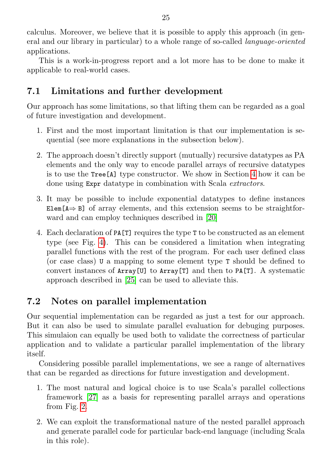calculus. Moreover, we believe that it is possible to apply this approach (in general and our library in particular) to a whole range of so-called language-oriented applications.

This is a work-in-progress report and a lot more has to be done to make it applicable to real-world cases.

## 7.1 Limitations and further development

Our approach has some limitations, so that lifting them can be regarded as a goal of future investigation and development.

- 1. First and the most important limitation is that our implementation is sequential (see more explanations in the subsection below).
- 2. The approach doesn't directly support (mutually) recursive datatypes as PA elements and the only way to encode parallel arrays of recursive datatypes is to use the Tree[A] type constructor. We show in Section [4](#page-9-0) how it can be done using Expr datatype in combination with Scala extractors.
- 3. It may be possible to include exponential datatypes to define instances Elem $[A \Rightarrow B]$  of array elements, and this extension seems to be straightforward and can employ techniques described in [\[20\]](#page-26-11)
- 4. Each declaration of PA[T] requires the type T to be constructed as an element type (see Fig. [4\)](#page-8-0). This can be considered a limitation when integrating parallel functions with the rest of the program. For each user defined class (or case class) U a mapping to some element type T should be defined to convert instances of Array[U] to Array[T] and then to PA[T]. A systematic approach described in [\[25\]](#page-27-2) can be used to alleviate this.

# 7.2 Notes on parallel implementation

Our sequential implementation can be regarded as just a test for our approach. But it can also be used to simulate parallel evaluation for debuging purposes. This simulaion can equally be used both to validate the correctness of particular application and to validate a particular parallel implementation of the library itself.

Considering possible parallel implementations, we see a range of alternatives that can be regarded as directions for future investigation and development.

- 1. The most natural and logical choice is to use Scala's parallel collections framework [\[27\]](#page-27-6) as a basis for representing parallel arrays and operations from Fig. [2.](#page-7-0)
- 2. We can exploit the transformational nature of the nested parallel approach and generate parallel code for particular back-end language (including Scala in this role).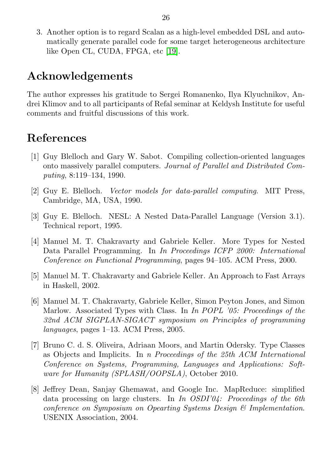3. Another option is to regard Scalan as a high-level embedded DSL and automatically generate parallel code for some target heterogeneous architecture like Open CL, CUDA, FPGA, etc [\[19\]](#page-26-12).

# Acknowledgements

The author expresses his gratitude to Sergei Romanenko, Ilya Klyuchnikov, Andrei Klimov and to all participants of Refal seminar at Keldysh Institute for useful comments and fruitful discussions of this work.

# <span id="page-25-0"></span>References

- <span id="page-25-2"></span>[1] Guy Blelloch and Gary W. Sabot. Compiling collection-oriented languages onto massively parallel computers. Journal of Parallel and Distributed Computing, 8:119–134, 1990.
- <span id="page-25-3"></span>[2] Guy E. Blelloch. Vector models for data-parallel computing. MIT Press, Cambridge, MA, USA, 1990.
- <span id="page-25-1"></span>[3] Guy E. Blelloch. NESL: A Nested Data-Parallel Language (Version 3.1). Technical report, 1995.
- <span id="page-25-7"></span>[4] Manuel M. T. Chakravarty and Gabriele Keller. More Types for Nested Data Parallel Programming. In In Proceedings ICFP 2000: International Conference on Functional Programming, pages 94–105. ACM Press, 2000.
- <span id="page-25-8"></span>[5] Manuel M. T. Chakravarty and Gabriele Keller. An Approach to Fast Arrays in Haskell, 2002.
- <span id="page-25-5"></span>[6] Manuel M. T. Chakravarty, Gabriele Keller, Simon Peyton Jones, and Simon Marlow. Associated Types with Class. In In POPL '05: Proceedings of the 32nd ACM SIGPLAN-SIGACT symposium on Principles of programming languages, pages 1–13. ACM Press, 2005.
- <span id="page-25-6"></span>[7] Bruno C. d. S. Oliveira, Adriaan Moors, and Martin Odersky. Type Classes as Objects and Implicits. In n Proceedings of the 25th ACM International Conference on Systems, Programming, Languages and Applications: Software for Humanity (SPLASH/OOPSLA), October 2010.
- <span id="page-25-4"></span>[8] Jeffrey Dean, Sanjay Ghemawat, and Google Inc. MapReduce: simplified data processing on large clusters. In In OSDI'04: Proceedings of the 6th conference on Symposium on Opearting Systems Design & Implementation. USENIX Association, 2004.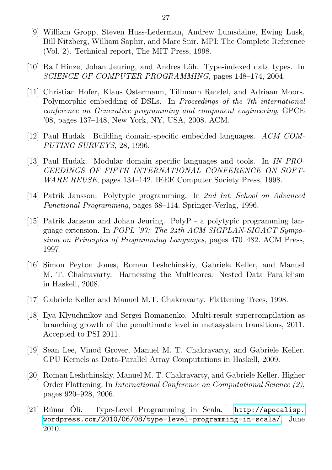- <span id="page-26-1"></span>[9] William Gropp, Steven Huss-Lederman, Andrew Lumsdaine, Ewing Lusk, Bill Nitzberg, William Saphir, and Marc Snir. MPI: The Complete Reference (Vol. 2). Technical report, The MIT Press, 1998.
- <span id="page-26-3"></span>[10] Ralf Hinze, Johan Jeuring, and Andres Löh. Type-indexed data types. In SCIENCE OF COMPUTER PROGRAMMING, pages 148–174, 2004.
- <span id="page-26-7"></span>[11] Christian Hofer, Klaus Ostermann, Tillmann Rendel, and Adriaan Moors. Polymorphic embedding of DSLs. In Proceedings of the 7th international conference on Generative programming and component engineering, GPCE '08, pages 137–148, New York, NY, USA, 2008. ACM.
- <span id="page-26-5"></span>[12] Paul Hudak. Building domain-specific embedded languages. ACM COM-PUTING SURVEYS, 28, 1996.
- <span id="page-26-6"></span>[13] Paul Hudak. Modular domain specific languages and tools. In IN PRO-CEEDINGS OF FIFTH INTERNATIONAL CONFERENCE ON SOFT-WARE REUSE, pages 134–142. IEEE Computer Society Press, 1998.
- <span id="page-26-2"></span>[14] Patrik Jansson. Polytypic programming. In 2nd Int. School on Advanced Functional Programming, pages 68–114. Springer-Verlag, 1996.
- <span id="page-26-4"></span>[15] Patrik Jansson and Johan Jeuring. PolyP - a polytypic programming language extension. In POPL '97: The 24th ACM SIGPLAN-SIGACT Symposium on Principles of Programming Languages, pages 470–482. ACM Press, 1997.
- <span id="page-26-0"></span>[16] Simon Peyton Jones, Roman Leshchinskiy, Gabriele Keller, and Manuel M. T. Chakravarty. Harnessing the Multicores: Nested Data Parallelism in Haskell, 2008.
- <span id="page-26-8"></span>[17] Gabriele Keller and Manuel M.T. Chakravarty. Flattening Trees, 1998.
- <span id="page-26-9"></span>[18] Ilya Klyuchnikov and Sergei Romanenko. Multi-result supercompilation as branching growth of the penultimate level in metasystem transitions, 2011. Accepted to PSI 2011.
- <span id="page-26-12"></span>[19] Sean Lee, Vinod Grover, Manuel M. T. Chakravarty, and Gabriele Keller. GPU Kernels as Data-Parallel Array Computations in Haskell, 2009.
- <span id="page-26-11"></span>[20] Roman Leshchinskiy, Manuel M. T. Chakravarty, and Gabriele Keller. Higher Order Flattening. In International Conference on Computational Science (2), pages 920–928, 2006.
- <span id="page-26-10"></span>[21] Rúnar Oli. Type-Level Programming in Scala. [http://apocalisp.](http://apocalisp.wordpress.com/2010/06/08/type-level-programming-in-scala/) [wordpress.com/2010/06/08/type-level-programming-in-scala/](http://apocalisp.wordpress.com/2010/06/08/type-level-programming-in-scala/), June 2010.